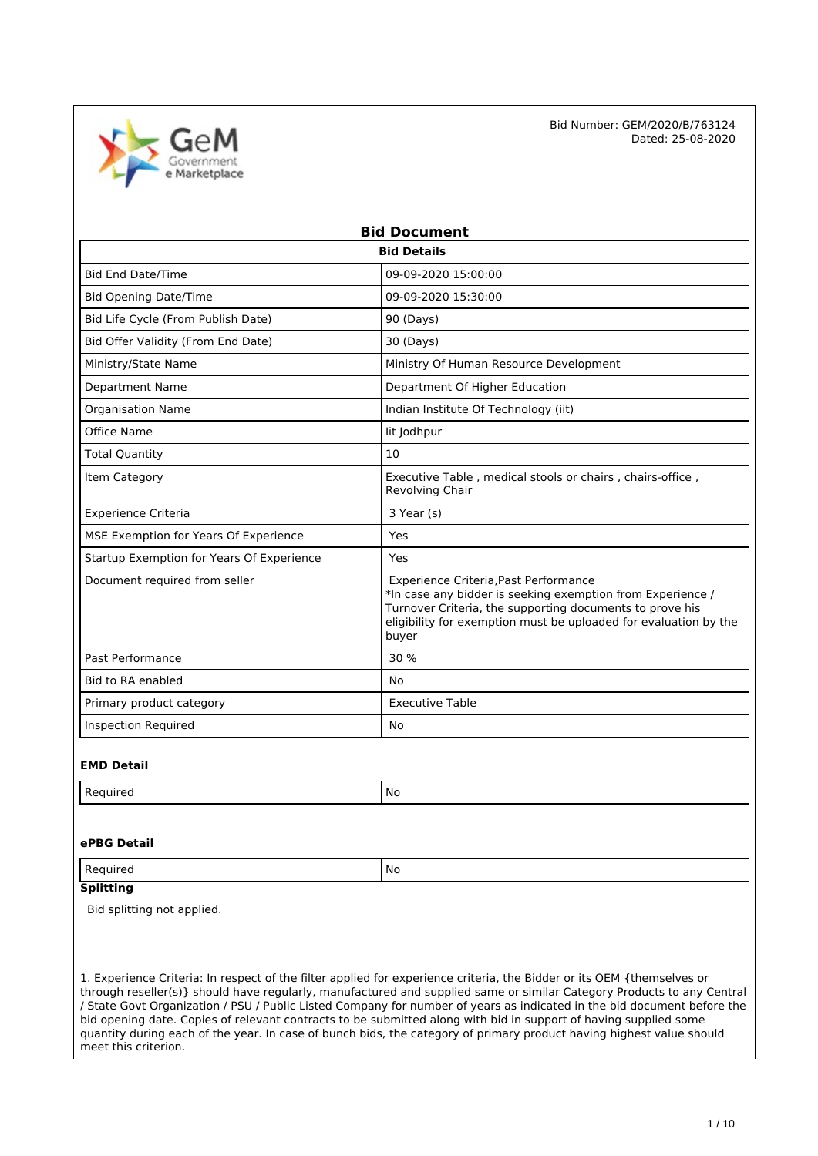

| <b>Bid Document</b>                       |                                                                                                                                                                                                                                              |  |
|-------------------------------------------|----------------------------------------------------------------------------------------------------------------------------------------------------------------------------------------------------------------------------------------------|--|
|                                           | <b>Bid Details</b>                                                                                                                                                                                                                           |  |
| <b>Bid End Date/Time</b>                  | 09-09-2020 15:00:00                                                                                                                                                                                                                          |  |
| <b>Bid Opening Date/Time</b>              | 09-09-2020 15:30:00                                                                                                                                                                                                                          |  |
| Bid Life Cycle (From Publish Date)        | 90 (Days)                                                                                                                                                                                                                                    |  |
| Bid Offer Validity (From End Date)        | 30 (Days)                                                                                                                                                                                                                                    |  |
| Ministry/State Name                       | Ministry Of Human Resource Development                                                                                                                                                                                                       |  |
| <b>Department Name</b>                    | Department Of Higher Education                                                                                                                                                                                                               |  |
| Organisation Name                         | Indian Institute Of Technology (iit)                                                                                                                                                                                                         |  |
| Office Name                               | lit Jodhpur                                                                                                                                                                                                                                  |  |
| <b>Total Quantity</b>                     | 10                                                                                                                                                                                                                                           |  |
| Item Category                             | Executive Table, medical stools or chairs, chairs-office,<br>Revolving Chair                                                                                                                                                                 |  |
| <b>Experience Criteria</b>                | 3 Year (s)                                                                                                                                                                                                                                   |  |
| MSE Exemption for Years Of Experience     | Yes                                                                                                                                                                                                                                          |  |
| Startup Exemption for Years Of Experience | Yes                                                                                                                                                                                                                                          |  |
| Document required from seller             | Experience Criteria, Past Performance<br>*In case any bidder is seeking exemption from Experience /<br>Turnover Criteria, the supporting documents to prove his<br>eligibility for exemption must be uploaded for evaluation by the<br>buyer |  |
| Past Performance                          | 30 %                                                                                                                                                                                                                                         |  |
| Bid to RA enabled                         | No                                                                                                                                                                                                                                           |  |
| Primary product category                  | <b>Executive Table</b>                                                                                                                                                                                                                       |  |
| <b>Inspection Required</b>                | No                                                                                                                                                                                                                                           |  |

### **EMD Detail**

| <b>D</b> -<br>auireo<br>к.<br>. | .No<br>__ |
|---------------------------------|-----------|

### **ePBG Detail**

Required No. 2012 No. 2014

## **Splitting**

Bid splitting not applied.

1. Experience Criteria: In respect of the filter applied for experience criteria, the Bidder or its OEM {themselves or through reseller(s)} should have regularly, manufactured and supplied same or similar Category Products to any Central / State Govt Organization / PSU / Public Listed Company for number of years as indicated in the bid document before the bid opening date. Copies of relevant contracts to be submitted along with bid in support of having supplied some quantity during each of the year. In case of bunch bids, the category of primary product having highest value should meet this criterion.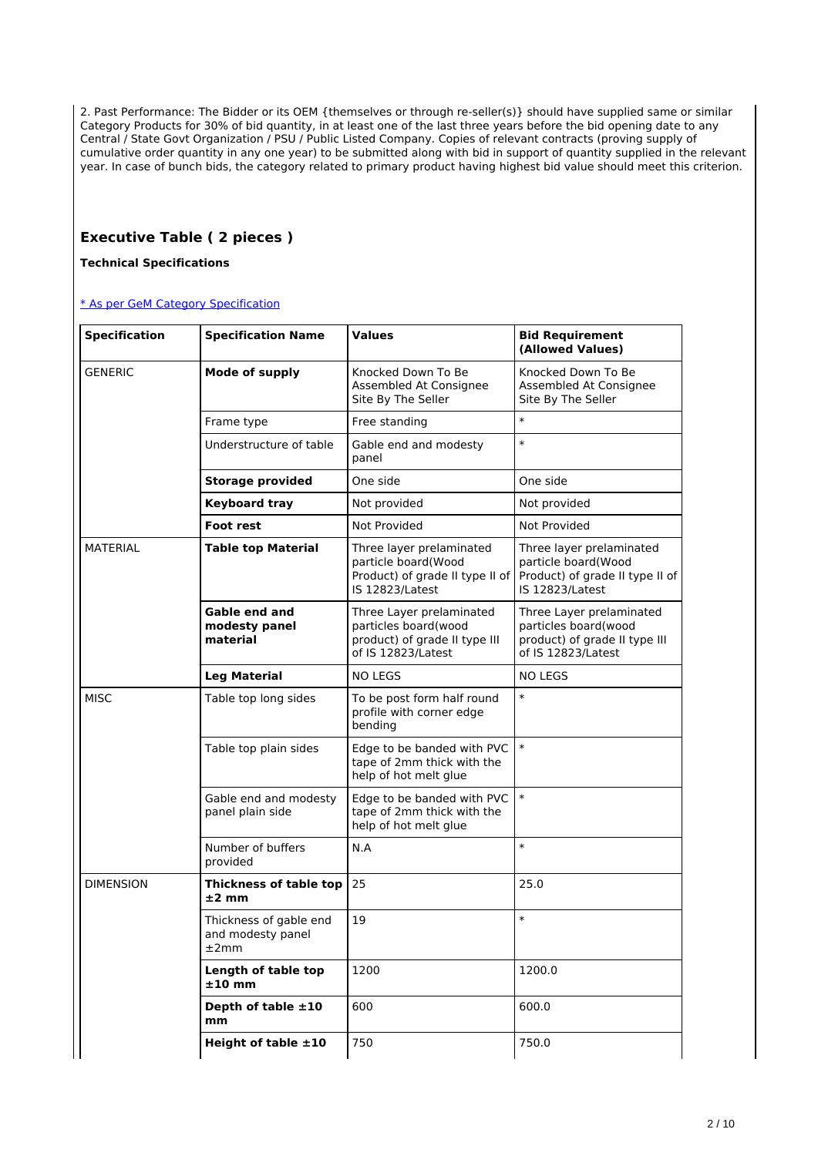2. Past Performance: The Bidder or its OEM {themselves or through re-seller(s)} should have supplied same or similar Category Products for 30% of bid quantity, in at least one of the last three years before the bid opening date to any Central / State Govt Organization / PSU / Public Listed Company. Copies of relevant contracts (proving supply of cumulative order quantity in any one year) to be submitted along with bid in support of quantity supplied in the relevant year. In case of bunch bids, the category related to primary product having highest bid value should meet this criterion.

## **Executive Table ( 2 pieces )**

**Technical Specifications**

| <b>Specification</b> | <b>Specification Name</b>                           | Values                                                                                                  | <b>Bid Requirement</b><br>(Allowed Values)                                                              |
|----------------------|-----------------------------------------------------|---------------------------------------------------------------------------------------------------------|---------------------------------------------------------------------------------------------------------|
| <b>GENERIC</b>       | <b>Mode of supply</b>                               | Knocked Down To Be<br>Assembled At Consignee<br>Site By The Seller                                      | Knocked Down To Be<br>Assembled At Consignee<br>Site By The Seller                                      |
|                      | Frame type                                          | Free standing                                                                                           | $\ast$                                                                                                  |
|                      | Understructure of table                             | Gable end and modesty<br>panel                                                                          | $\ast$                                                                                                  |
|                      | <b>Storage provided</b>                             | One side                                                                                                | One side                                                                                                |
|                      | <b>Keyboard tray</b>                                | Not provided                                                                                            | Not provided                                                                                            |
|                      | <b>Foot rest</b>                                    | Not Provided                                                                                            | <b>Not Provided</b>                                                                                     |
| <b>MATERIAL</b>      | <b>Table top Material</b>                           | Three layer prelaminated<br>particle board(Wood<br>Product) of grade II type II of<br>IS 12823/Latest   | Three layer prelaminated<br>particle board(Wood<br>Product) of grade II type II of<br>IS 12823/Latest   |
|                      | Gable end and<br>modesty panel<br>material          | Three Layer prelaminated<br>particles board(wood<br>product) of grade II type III<br>of IS 12823/Latest | Three Layer prelaminated<br>particles board(wood<br>product) of grade II type III<br>of IS 12823/Latest |
|                      | <b>Leg Material</b>                                 | <b>NO LEGS</b>                                                                                          | <b>NO LEGS</b>                                                                                          |
| <b>MISC</b>          | Table top long sides                                | To be post form half round<br>profile with corner edge<br>bending                                       | $\ast$                                                                                                  |
|                      | Table top plain sides                               | Edge to be banded with PVC<br>tape of 2mm thick with the<br>help of hot melt glue                       | $\ast$                                                                                                  |
|                      | Gable end and modesty<br>panel plain side           | Edge to be banded with PVC<br>tape of 2mm thick with the<br>help of hot melt glue                       | $\ast$                                                                                                  |
|                      | Number of buffers<br>provided                       | N.A                                                                                                     | $\ast$                                                                                                  |
| <b>DIMENSION</b>     | Thickness of table top<br>$±2$ mm                   | 25                                                                                                      | 25.0                                                                                                    |
|                      | Thickness of gable end<br>and modesty panel<br>±2mm | 19                                                                                                      | $\ast$                                                                                                  |
|                      | Length of table top<br>$±10$ mm                     | 1200                                                                                                    | 1200.0                                                                                                  |
|                      | Depth of table $\pm 10$<br>mm                       | 600                                                                                                     | 600.0                                                                                                   |
|                      | Height of table $\pm 10$                            | 750                                                                                                     | 750.0                                                                                                   |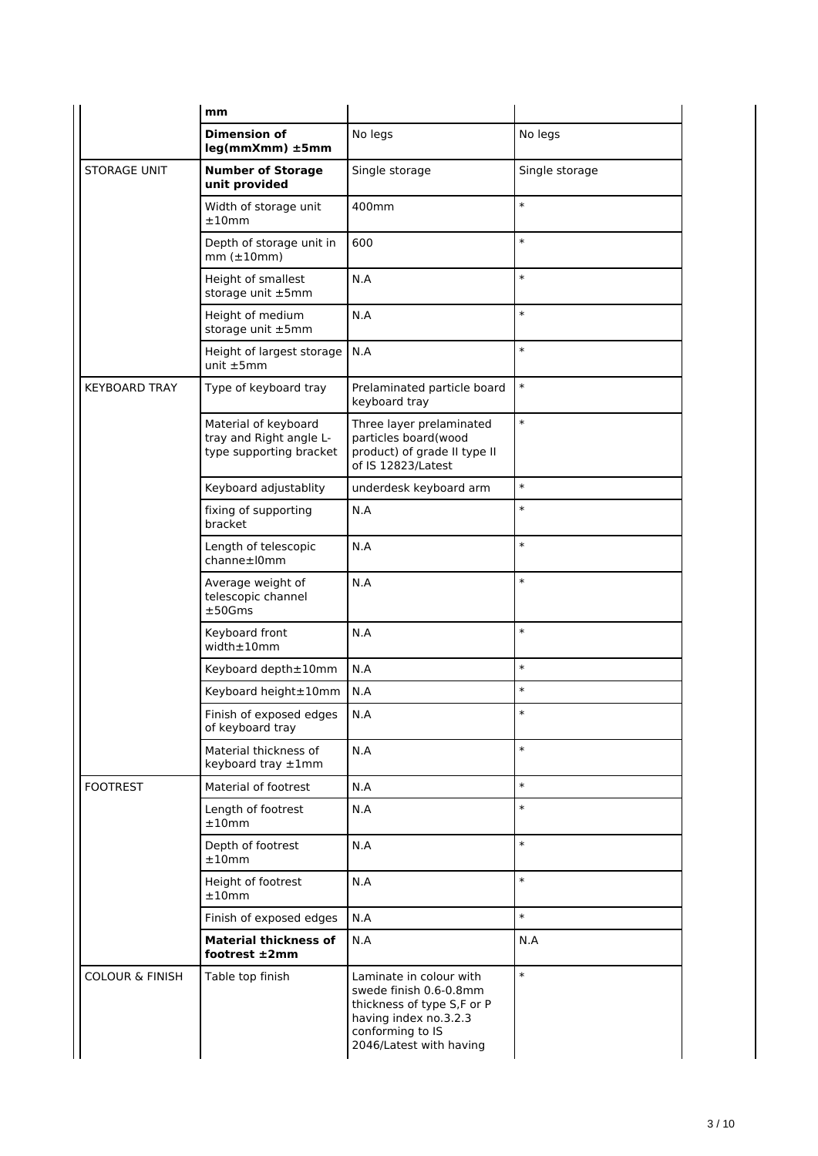|                            | mm                                                                         |                                                                                                                                                         |                |
|----------------------------|----------------------------------------------------------------------------|---------------------------------------------------------------------------------------------------------------------------------------------------------|----------------|
|                            | <b>Dimension of</b><br>leg(mmXmm) ±5mm                                     | No legs                                                                                                                                                 | No legs        |
| <b>STORAGE UNIT</b>        | <b>Number of Storage</b><br>unit provided                                  | Single storage                                                                                                                                          | Single storage |
|                            | Width of storage unit<br>±10mm                                             | 400mm                                                                                                                                                   | $\ast$         |
|                            | Depth of storage unit in<br>$mm(\pm10mm)$                                  | 600                                                                                                                                                     | $\ast$         |
|                            | Height of smallest<br>storage unit ±5mm                                    | N.A                                                                                                                                                     | $\ast$         |
|                            | Height of medium<br>storage unit ±5mm                                      | N.A                                                                                                                                                     | $\ast$         |
|                            | Height of largest storage<br>unit $±5mm$                                   | N.A                                                                                                                                                     | $\ast$         |
| <b>KEYBOARD TRAY</b>       | Type of keyboard tray                                                      | Prelaminated particle board<br>keyboard tray                                                                                                            | $\ast$         |
|                            | Material of keyboard<br>tray and Right angle L-<br>type supporting bracket | Three layer prelaminated<br>particles board(wood<br>product) of grade II type II<br>of IS 12823/Latest                                                  | $\ast$         |
|                            | Keyboard adjustablity                                                      | underdesk keyboard arm                                                                                                                                  | $\ast$         |
|                            | fixing of supporting<br>bracket                                            | N.A                                                                                                                                                     | $\ast$         |
|                            | Length of telescopic<br>channe±10mm                                        | N.A                                                                                                                                                     | $\ast$         |
|                            | Average weight of<br>telescopic channel<br>±50Gms                          | N.A                                                                                                                                                     | $\ast$         |
|                            | Keyboard front<br>width±10mm                                               | N.A                                                                                                                                                     | $\ast$         |
|                            | Keyboard depth±10mm                                                        | N.A                                                                                                                                                     | $\ast$         |
|                            | Keyboard height±10mm                                                       | N.A                                                                                                                                                     | $\ast$         |
|                            | Finish of exposed edges<br>of keyboard tray                                | N.A                                                                                                                                                     | $\ast$         |
|                            | Material thickness of<br>keyboard tray ±1mm                                | N.A                                                                                                                                                     | $\ast$         |
| <b>FOOTREST</b>            | Material of footrest                                                       | N.A                                                                                                                                                     | $\ast$         |
|                            | Length of footrest<br>±10mm                                                | N.A                                                                                                                                                     | $\ast$         |
|                            | Depth of footrest<br>±10mm                                                 | N.A                                                                                                                                                     | $\ast$         |
|                            | Height of footrest<br>±10mm                                                | N.A                                                                                                                                                     | $\ast$         |
|                            | Finish of exposed edges                                                    | N.A                                                                                                                                                     | $\ast$         |
|                            | <b>Material thickness of</b><br>footrest $\pm 2$ mm                        | N.A                                                                                                                                                     | N.A            |
| <b>COLOUR &amp; FINISH</b> | Table top finish                                                           | Laminate in colour with<br>swede finish 0.6-0.8mm<br>thickness of type S,F or P<br>having index no.3.2.3<br>conforming to IS<br>2046/Latest with having | $\ast$         |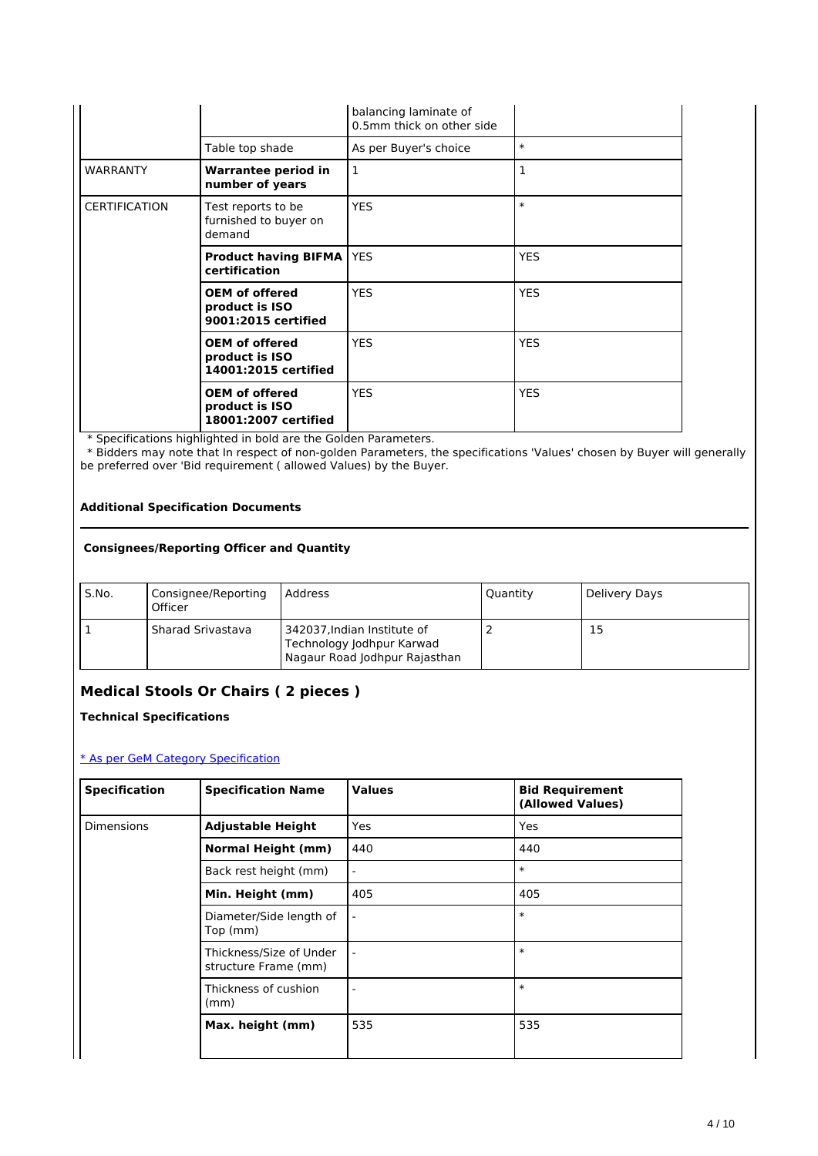|                      |                                                                 | balancing laminate of<br>0.5mm thick on other side |              |
|----------------------|-----------------------------------------------------------------|----------------------------------------------------|--------------|
|                      | Table top shade                                                 | As per Buyer's choice                              | $\ast$       |
| <b>WARRANTY</b>      | Warrantee period in<br>number of years                          | 1                                                  | $\mathbf{1}$ |
| <b>CERTIFICATION</b> | Test reports to be<br>furnished to buyer on<br>demand           | <b>YES</b>                                         | $\ast$       |
|                      | <b>Product having BIFMA</b><br>certification                    | <b>YES</b>                                         | <b>YES</b>   |
|                      | <b>OEM of offered</b><br>product is ISO<br>9001:2015 certified  | <b>YES</b>                                         | <b>YES</b>   |
|                      | <b>OEM of offered</b><br>product is ISO<br>14001:2015 certified | <b>YES</b>                                         | <b>YES</b>   |
|                      | <b>OEM of offered</b><br>product is ISO<br>18001:2007 certified | <b>YES</b>                                         | <b>YES</b>   |

 \* Bidders may note that In respect of non-golden Parameters, the specifications 'Values' chosen by Buyer will generally be preferred over 'Bid requirement ( allowed Values) by the Buyer.

### **Additional Specification Documents**

### **Consignees/Reporting Officer and Quantity**

| S.No. | Consignee/Reporting<br>Officer | Address                                                                                   | Quantity | Delivery Days |
|-------|--------------------------------|-------------------------------------------------------------------------------------------|----------|---------------|
|       | Sharad Srivastava              | 342037, Indian Institute of<br>Technology Jodhpur Karwad<br>Nagaur Road Jodhpur Rajasthan |          | 15            |

## **Medical Stools Or Chairs ( 2 pieces )**

**Technical Specifications**

| <b>Specification</b> | <b>Specification Name</b>                       | <b>Values</b>            | <b>Bid Requirement</b><br>(Allowed Values) |
|----------------------|-------------------------------------------------|--------------------------|--------------------------------------------|
| <b>Dimensions</b>    | <b>Adjustable Height</b>                        | <b>Yes</b>               | Yes                                        |
|                      | <b>Normal Height (mm)</b>                       | 440                      | 440                                        |
|                      | Back rest height (mm)                           | $\overline{\phantom{a}}$ | $\ast$                                     |
|                      | Min. Height (mm)                                | 405                      | 405                                        |
|                      | Diameter/Side length of<br>Top (mm)             |                          | $\ast$                                     |
|                      | Thickness/Size of Under<br>structure Frame (mm) |                          | $\ast$                                     |
|                      | Thickness of cushion<br>(mm)                    |                          | $\ast$                                     |
|                      | Max. height (mm)                                | 535                      | 535                                        |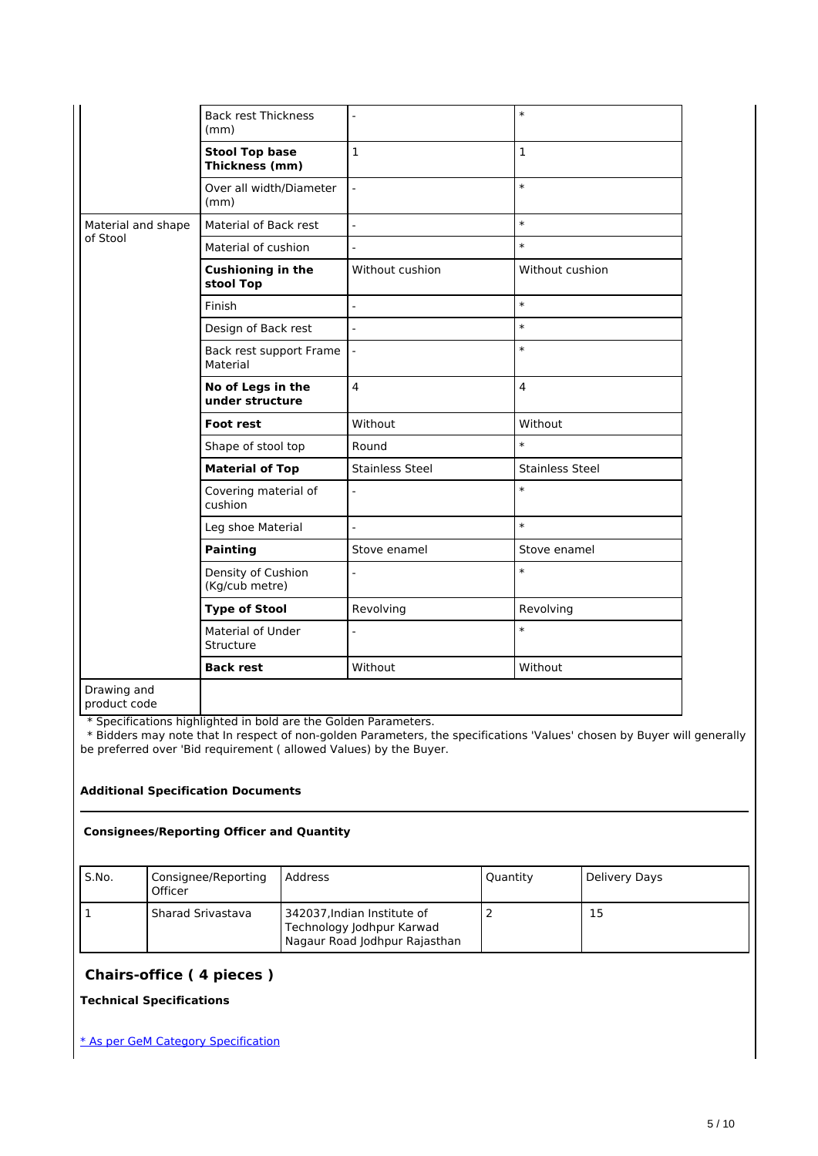|                             | <b>Back rest Thickness</b><br>(mm)      |                        | $\ast$                 |
|-----------------------------|-----------------------------------------|------------------------|------------------------|
|                             | <b>Stool Top base</b><br>Thickness (mm) | $\mathbf{1}$           | $\mathbf{1}$           |
|                             | Over all width/Diameter<br>(mm)         | $\overline{a}$         | $\ast$                 |
| Material and shape          | Material of Back rest                   | $\overline{a}$         | $\ast$                 |
| of Stool                    | Material of cushion                     |                        | $\ast$                 |
|                             | <b>Cushioning in the</b><br>stool Top   | Without cushion        | Without cushion        |
|                             | Finish                                  | $\overline{a}$         | $\ast$                 |
|                             | Design of Back rest                     | $\overline{a}$         | $\ast$                 |
|                             | Back rest support Frame<br>Material     |                        | $\ast$                 |
|                             | No of Legs in the<br>under structure    | $\overline{4}$         | $\overline{4}$         |
|                             | <b>Foot rest</b>                        | Without                | Without                |
|                             | Shape of stool top                      | Round                  | $\ast$                 |
|                             | <b>Material of Top</b>                  | <b>Stainless Steel</b> | <b>Stainless Steel</b> |
|                             | Covering material of<br>cushion         |                        | $\ast$                 |
|                             | Leg shoe Material                       | $\overline{a}$         | $\ast$                 |
|                             | <b>Painting</b>                         | Stove enamel           | Stove enamel           |
|                             | Density of Cushion<br>(Kg/cub metre)    |                        | $\ast$                 |
|                             | <b>Type of Stool</b>                    | Revolving              | Revolving              |
|                             | Material of Under<br>Structure          |                        | $\ast$                 |
|                             | <b>Back rest</b>                        | Without                | Without                |
| Drawing and<br>product code |                                         |                        |                        |

 \* Bidders may note that In respect of non-golden Parameters, the specifications 'Values' chosen by Buyer will generally be preferred over 'Bid requirement ( allowed Values) by the Buyer.

### **Additional Specification Documents**

### **Consignees/Reporting Officer and Quantity**

| S.No. | Consignee/Reporting<br>Officer | l Address                                                                                 | Quantity | , Delivery Days |
|-------|--------------------------------|-------------------------------------------------------------------------------------------|----------|-----------------|
|       | <b>Sharad Srivastava</b>       | 342037, Indian Institute of<br>Technology Jodhpur Karwad<br>Nagaur Road Jodhpur Rajasthan |          | 15              |

### **Chairs-office ( 4 pieces )**

**Technical Specifications**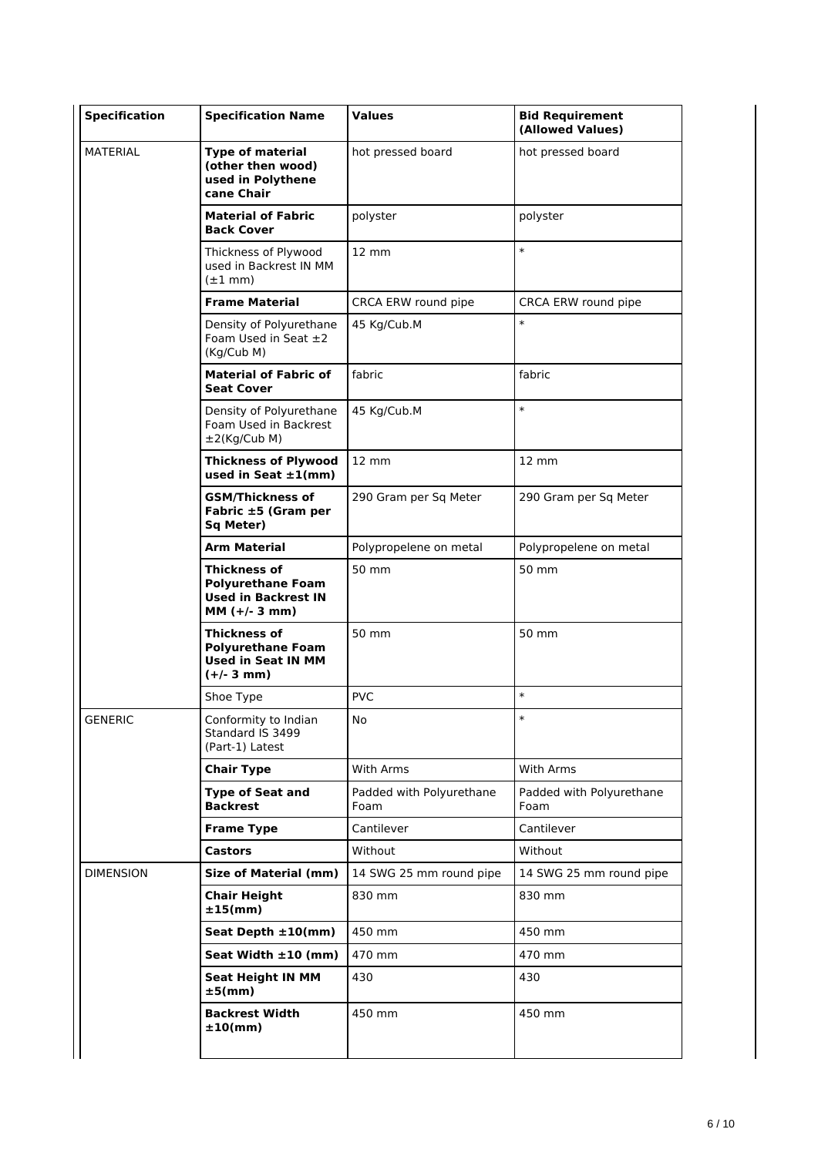| <b>Specification</b> | <b>Specification Name</b>                                                                    | <b>Values</b>                    | <b>Bid Requirement</b><br>(Allowed Values) |
|----------------------|----------------------------------------------------------------------------------------------|----------------------------------|--------------------------------------------|
| <b>MATERIAL</b>      | <b>Type of material</b><br>(other then wood)<br>used in Polythene<br>cane Chair              | hot pressed board                | hot pressed board                          |
|                      | <b>Material of Fabric</b><br><b>Back Cover</b>                                               | polyster                         | polyster                                   |
|                      | Thickness of Plywood<br>used in Backrest IN MM<br>$(\pm 1$ mm)                               | $12 \text{ mm}$                  | $\ast$                                     |
|                      | <b>Frame Material</b>                                                                        | CRCA ERW round pipe              | CRCA ERW round pipe                        |
|                      | Density of Polyurethane<br>Foam Used in Seat $\pm 2$<br>(Kg/Cub M)                           | 45 Kg/Cub.M                      | $\ast$                                     |
|                      | <b>Material of Fabric of</b><br><b>Seat Cover</b>                                            | fabric                           | fabric                                     |
|                      | Density of Polyurethane<br>Foam Used in Backrest<br>$\pm 2$ (Kg/Cub M)                       | 45 Kg/Cub.M                      | $\ast$                                     |
|                      | <b>Thickness of Plywood</b><br>used in Seat $\pm 1$ (mm)                                     | $12 \text{ mm}$                  | $12 \text{ mm}$                            |
|                      | <b>GSM/Thickness of</b><br>Fabric ±5 (Gram per<br><b>Sq Meter)</b>                           | 290 Gram per Sq Meter            | 290 Gram per Sq Meter                      |
|                      | <b>Arm Material</b>                                                                          | Polypropelene on metal           | Polypropelene on metal                     |
|                      | Thickness of<br><b>Polyurethane Foam</b><br><b>Used in Backrest IN</b><br>$MM (+/- 3 mm)$    | 50 mm                            | 50 mm                                      |
|                      | <b>Thickness of</b><br><b>Polyurethane Foam</b><br><b>Used in Seat IN MM</b><br>$(+/- 3 mm)$ | 50 mm                            | 50 mm                                      |
|                      | Shoe Type                                                                                    | <b>PVC</b>                       | $\ast$                                     |
| <b>GENERIC</b>       | Conformity to Indian<br>Standard IS 3499<br>(Part-1) Latest                                  | No                               | $\ast$                                     |
|                      | <b>Chair Type</b>                                                                            | <b>With Arms</b>                 | With Arms                                  |
|                      | <b>Type of Seat and</b><br><b>Backrest</b>                                                   | Padded with Polyurethane<br>Foam | Padded with Polyurethane<br>Foam           |
|                      | <b>Frame Type</b>                                                                            | Cantilever                       | Cantilever                                 |
|                      | <b>Castors</b>                                                                               | Without                          | Without                                    |
| <b>DIMENSION</b>     | <b>Size of Material (mm)</b>                                                                 | 14 SWG 25 mm round pipe          | 14 SWG 25 mm round pipe                    |
|                      | <b>Chair Height</b><br>$±15$ (mm)                                                            | 830 mm                           | 830 mm                                     |
|                      | Seat Depth $\pm 10$ (mm)                                                                     | 450 mm                           | 450 mm                                     |
|                      | Seat Width $\pm 10$ (mm)                                                                     | 470 mm                           | 470 mm                                     |
|                      | <b>Seat Height IN MM</b><br>$±5$ (mm)                                                        | 430                              | 430                                        |
|                      | <b>Backrest Width</b><br>±10(mm)                                                             | 450 mm                           | 450 mm                                     |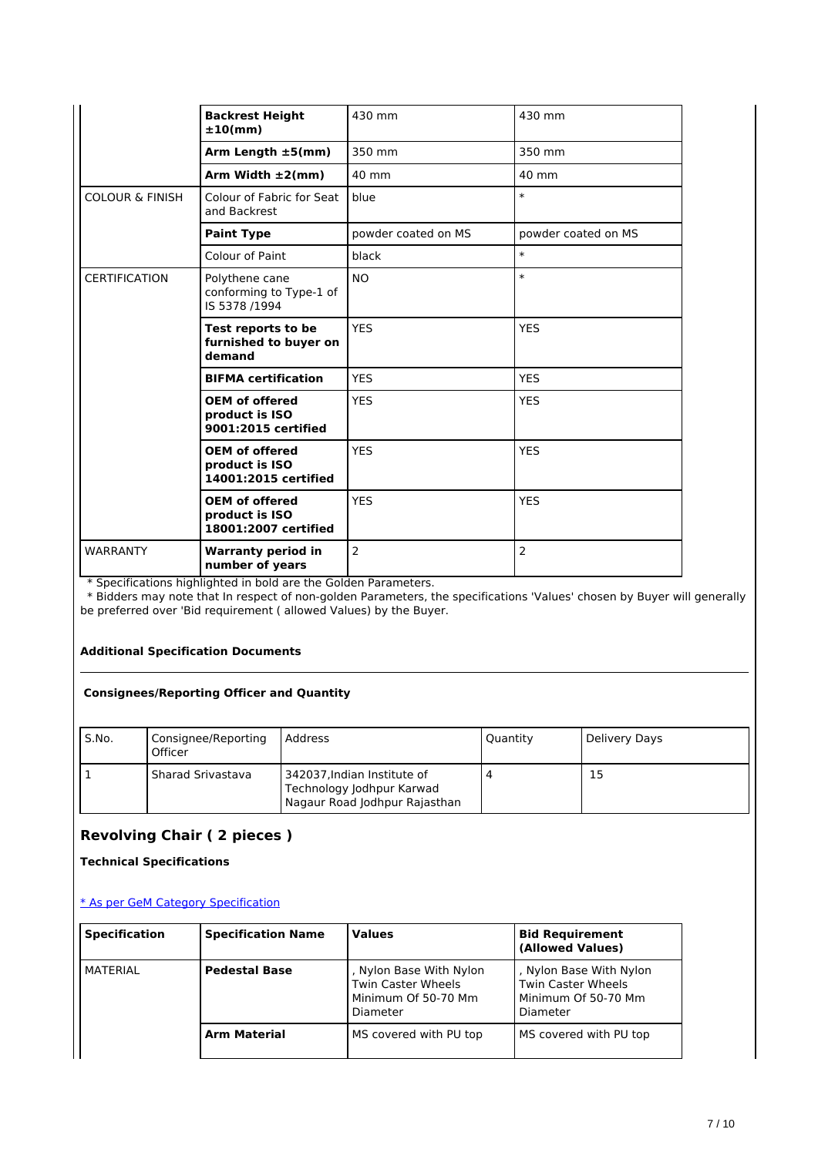|                            | <b>Backrest Height</b><br>±10(mm)                               | 430 mm              | 430 mm              |
|----------------------------|-----------------------------------------------------------------|---------------------|---------------------|
|                            | Arm Length $\pm 5$ (mm)                                         | 350 mm              | 350 mm              |
|                            | Arm Width $\pm 2$ (mm)                                          | 40 mm               | 40 mm               |
| <b>COLOUR &amp; FINISH</b> | Colour of Fabric for Seat<br>and Backrest                       | blue                | $\ast$              |
|                            | <b>Paint Type</b>                                               | powder coated on MS | powder coated on MS |
|                            | Colour of Paint                                                 | black               | $\ast$              |
| <b>CERTIFICATION</b>       | Polythene cane<br>conforming to Type-1 of<br>IS 5378 /1994      | <b>NO</b>           | $\ast$              |
|                            | Test reports to be<br>furnished to buyer on<br>demand           | <b>YES</b>          | <b>YES</b>          |
|                            | <b>BIFMA</b> certification                                      | <b>YES</b>          | <b>YES</b>          |
|                            | <b>OEM of offered</b><br>product is ISO<br>9001:2015 certified  | <b>YES</b>          | <b>YES</b>          |
|                            | <b>OEM of offered</b><br>product is ISO<br>14001:2015 certified | <b>YES</b>          | <b>YES</b>          |
|                            | <b>OEM of offered</b><br>product is ISO<br>18001:2007 certified | <b>YES</b>          | <b>YES</b>          |
| <b>WARRANTY</b>            | <b>Warranty period in</b><br>number of years                    | $\overline{2}$      | $\overline{2}$      |

 \* Bidders may note that In respect of non-golden Parameters, the specifications 'Values' chosen by Buyer will generally be preferred over 'Bid requirement ( allowed Values) by the Buyer.

### **Additional Specification Documents**

### **Consignees/Reporting Officer and Quantity**

| S.No. | Consignee/Reporting<br>Officer | l Address                                                                                   | Quantity | Delivery Days |
|-------|--------------------------------|---------------------------------------------------------------------------------------------|----------|---------------|
|       | <b>Sharad Srivastava</b>       | i 342037, Indian Institute of<br>Technology Jodhpur Karwad<br>Nagaur Road Jodhpur Rajasthan |          | 15            |

# **Revolving Chair ( 2 pieces )**

**Technical Specifications**

| <b>Specification</b> | <b>Specification Name</b> | <b>Values</b>                                                                           | <b>Bid Requirement</b><br>(Allowed Values)                                       |
|----------------------|---------------------------|-----------------------------------------------------------------------------------------|----------------------------------------------------------------------------------|
| MATERIAL             | <b>Pedestal Base</b>      | , Nylon Base With Nylon<br><b>Twin Caster Wheels</b><br>Minimum Of 50-70 Mm<br>Diameter | , Nylon Base With Nylon<br>Twin Caster Wheels<br>Minimum Of 50-70 Mm<br>Diameter |
|                      | <b>Arm Material</b>       | MS covered with PU top                                                                  | MS covered with PU top                                                           |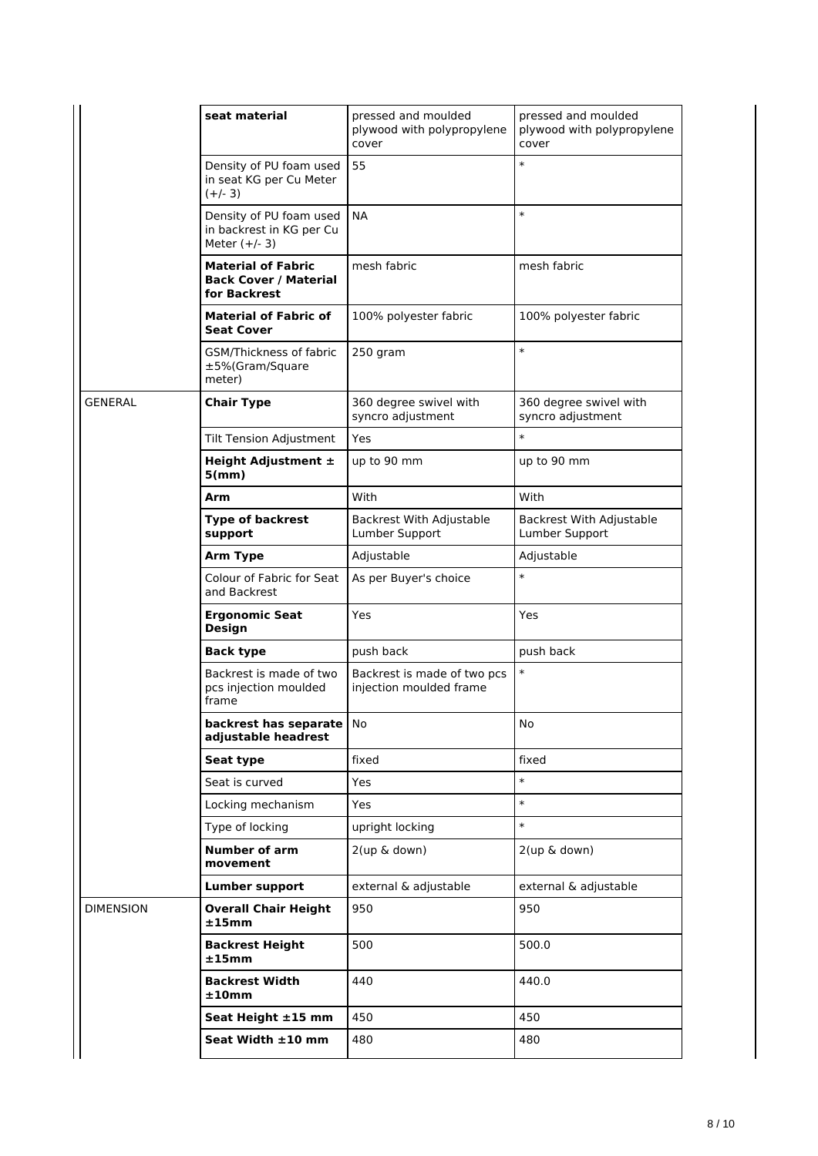|                  | seat material                                                             | pressed and moulded<br>plywood with polypropylene<br>cover | pressed and moulded<br>plywood with polypropylene<br>cover |  |
|------------------|---------------------------------------------------------------------------|------------------------------------------------------------|------------------------------------------------------------|--|
|                  | Density of PU foam used<br>in seat KG per Cu Meter<br>$(+/- 3)$           | 55                                                         | $\ast$                                                     |  |
|                  | Density of PU foam used<br>in backrest in KG per Cu<br>Meter $(+/- 3)$    | <b>NA</b>                                                  | $\ast$                                                     |  |
|                  | <b>Material of Fabric</b><br><b>Back Cover / Material</b><br>for Backrest | mesh fabric                                                | mesh fabric                                                |  |
|                  | <b>Material of Fabric of</b><br><b>Seat Cover</b>                         | 100% polyester fabric                                      | 100% polyester fabric                                      |  |
|                  | GSM/Thickness of fabric<br>±5%(Gram/Square<br>meter)                      | 250 gram                                                   | $\ast$                                                     |  |
| <b>GENERAL</b>   | <b>Chair Type</b>                                                         | 360 degree swivel with<br>syncro adjustment                | 360 degree swivel with<br>syncro adjustment                |  |
|                  | <b>Tilt Tension Adjustment</b>                                            | Yes                                                        | $\ast$                                                     |  |
|                  | Height Adjustment ±<br>5(mm)                                              | up to 90 mm                                                | up to 90 mm                                                |  |
|                  | Arm                                                                       | With                                                       | With                                                       |  |
|                  | <b>Type of backrest</b><br>support                                        | Backrest With Adjustable<br>Lumber Support                 | Backrest With Adjustable<br>Lumber Support                 |  |
|                  | <b>Arm Type</b>                                                           | Adjustable                                                 | Adjustable                                                 |  |
|                  | Colour of Fabric for Seat<br>and Backrest                                 | As per Buyer's choice                                      | $\ast$                                                     |  |
|                  | <b>Ergonomic Seat</b><br><b>Design</b>                                    | Yes                                                        | Yes                                                        |  |
|                  | <b>Back type</b>                                                          | push back                                                  | push back                                                  |  |
|                  | Backrest is made of two<br>pcs injection moulded<br>frame                 | Backrest is made of two pcs<br>injection moulded frame     | $\ast$                                                     |  |
|                  | backrest has separate   No<br>adjustable headrest                         |                                                            | No                                                         |  |
|                  | Seat type                                                                 | fixed                                                      | fixed                                                      |  |
|                  | Seat is curved                                                            | Yes                                                        | $\ast$                                                     |  |
|                  | Locking mechanism                                                         | Yes                                                        | $\ast$                                                     |  |
|                  | Type of locking                                                           | upright locking                                            | $\ast$                                                     |  |
|                  | Number of arm<br>movement                                                 | 2(up & down)                                               | 2(up & down)                                               |  |
|                  | <b>Lumber support</b>                                                     | external & adjustable                                      | external & adjustable                                      |  |
| <b>DIMENSION</b> | <b>Overall Chair Height</b><br>±15mm                                      | 950                                                        | 950                                                        |  |
|                  | <b>Backrest Height</b><br>$\pm 15$ mm                                     | 500                                                        | 500.0                                                      |  |
|                  | <b>Backrest Width</b><br>±10mm                                            | 440                                                        | 440.0                                                      |  |
|                  | Seat Height ±15 mm                                                        | 450                                                        | 450                                                        |  |
|                  | Seat Width $\pm 10$ mm                                                    | 480                                                        | 480                                                        |  |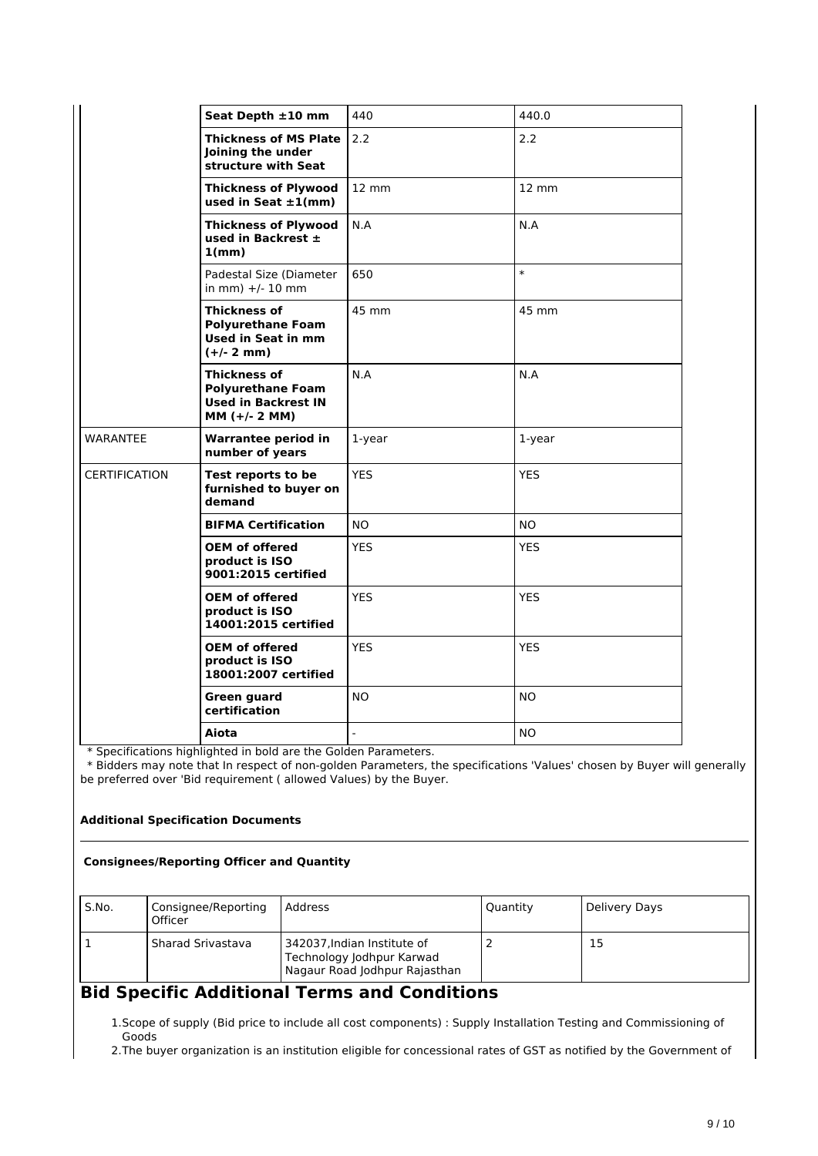|                      | Seat Depth ±10 mm                                                                                | 440                      | 440.0             |
|----------------------|--------------------------------------------------------------------------------------------------|--------------------------|-------------------|
|                      | <b>Thickness of MS Plate</b><br>Joining the under<br>structure with Seat                         | 2.2                      | 2.2               |
|                      | <b>Thickness of Plywood</b><br>used in Seat $\pm 1$ (mm)                                         | $12 \, \text{mm}$        | $12 \, \text{mm}$ |
|                      | <b>Thickness of Plywood</b><br>used in Backrest $\pm$<br>1(mm)                                   | N.A                      | N.A               |
|                      | Padestal Size (Diameter<br>in mm) $+/- 10$ mm                                                    | 650                      | $\ast$            |
|                      | <b>Thickness of</b><br><b>Polyurethane Foam</b><br>Used in Seat in mm<br>$(+/- 2 mm)$            | 45 mm                    | 45 mm             |
|                      | <b>Thickness of</b><br><b>Polyurethane Foam</b><br><b>Used in Backrest IN</b><br>$MM (+/- 2 MM)$ | N.A                      | N.A               |
| <b>WARANTEE</b>      | <b>Warrantee period in</b><br>number of years                                                    | 1-year                   | 1-year            |
| <b>CERTIFICATION</b> | Test reports to be<br>furnished to buyer on<br>demand                                            | <b>YES</b>               | <b>YES</b>        |
|                      | <b>BIFMA Certification</b>                                                                       | NO.                      | <b>NO</b>         |
|                      | <b>OEM of offered</b><br>product is ISO<br>9001:2015 certified                                   | <b>YES</b>               | <b>YES</b>        |
|                      | <b>OEM of offered</b><br>product is ISO<br>14001:2015 certified                                  | <b>YES</b>               | <b>YES</b>        |
|                      | <b>OEM of offered</b><br>product is ISO<br>18001:2007 certified                                  | <b>YES</b>               | <b>YES</b>        |
|                      | <b>Green guard</b><br>certification                                                              | NO.                      | <b>NO</b>         |
|                      | Aiota                                                                                            | $\overline{\phantom{a}}$ | N <sub>O</sub>    |

 \* Bidders may note that In respect of non-golden Parameters, the specifications 'Values' chosen by Buyer will generally be preferred over 'Bid requirement ( allowed Values) by the Buyer.

### **Additional Specification Documents**

### **Consignees/Reporting Officer and Quantity**

| S.No. | Consignee/Reporting<br>Officer | l Address                                                                                 | Quantity | Delivery Days |
|-------|--------------------------------|-------------------------------------------------------------------------------------------|----------|---------------|
|       | l Sharad Srivastava            | 342037, Indian Institute of<br>Technology Jodhpur Karwad<br>Nagaur Road Jodhpur Rajasthan |          | 15            |

# **Bid Specific Additional Terms and Conditions**

1.Scope of supply (Bid price to include all cost components) : Supply Installation Testing and Commissioning of Goods

2.The buyer organization is an institution eligible for concessional rates of GST as notified by the Government of